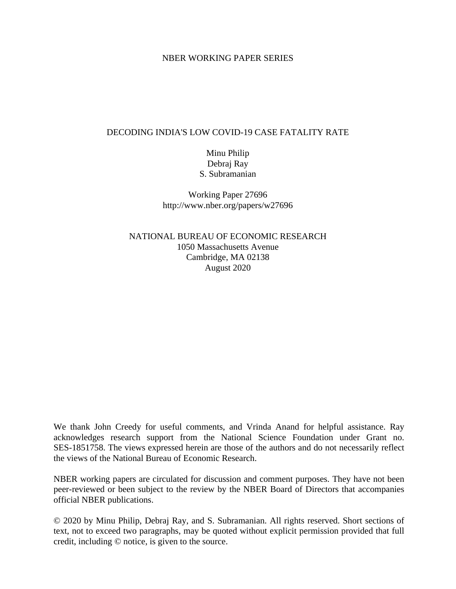#### NBER WORKING PAPER SERIES

#### DECODING INDIA'S LOW COVID-19 CASE FATALITY RATE

## Minu Philip Debraj Ray S. Subramanian

Working Paper 27696 http://www.nber.org/papers/w27696

## NATIONAL BUREAU OF ECONOMIC RESEARCH 1050 Massachusetts Avenue Cambridge, MA 02138 August 2020

We thank John Creedy for useful comments, and Vrinda Anand for helpful assistance. Ray acknowledges research support from the National Science Foundation under Grant no. SES-1851758. The views expressed herein are those of the authors and do not necessarily reflect the views of the National Bureau of Economic Research.

NBER working papers are circulated for discussion and comment purposes. They have not been peer-reviewed or been subject to the review by the NBER Board of Directors that accompanies official NBER publications.

© 2020 by Minu Philip, Debraj Ray, and S. Subramanian. All rights reserved. Short sections of text, not to exceed two paragraphs, may be quoted without explicit permission provided that full credit, including © notice, is given to the source.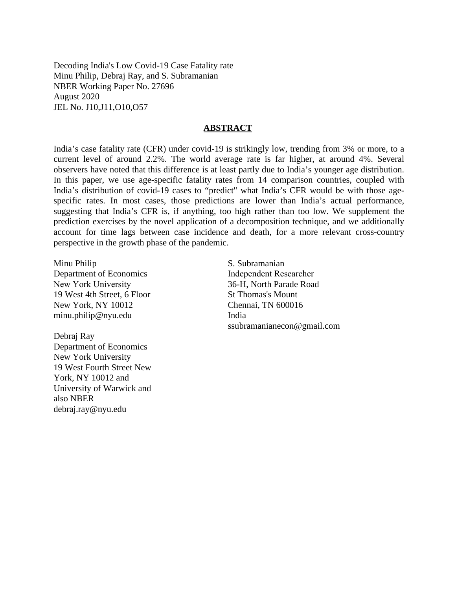Decoding India's Low Covid-19 Case Fatality rate Minu Philip, Debraj Ray, and S. Subramanian NBER Working Paper No. 27696 August 2020 JEL No. J10,J11,O10,O57

#### **ABSTRACT**

India's case fatality rate (CFR) under covid-19 is strikingly low, trending from 3% or more, to a current level of around 2.2%. The world average rate is far higher, at around 4%. Several observers have noted that this difference is at least partly due to India's younger age distribution. In this paper, we use age-specific fatality rates from 14 comparison countries, coupled with India's distribution of covid-19 cases to "predict" what India's CFR would be with those agespecific rates. In most cases, those predictions are lower than India's actual performance, suggesting that India's CFR is, if anything, too high rather than too low. We supplement the prediction exercises by the novel application of a decomposition technique, and we additionally account for time lags between case incidence and death, for a more relevant cross-country perspective in the growth phase of the pandemic.

Minu Philip Department of Economics New York University 19 West 4th Street, 6 Floor New York, NY 10012 minu.philip@nyu.edu

Debraj Ray Department of Economics New York University 19 West Fourth Street New York, NY 10012 and University of Warwick and also NBER debraj.ray@nyu.edu

S. Subramanian Independent Researcher 36-H, North Parade Road St Thomas's Mount Chennai, TN 600016 India ssubramanianecon@gmail.com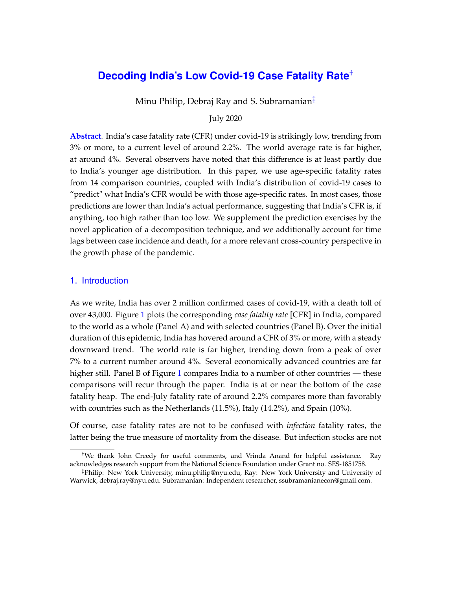# **Decoding India's Low Covid-19 Case Fatality Rate**[†](#page-2-0)

Minu Philip, Debraj Ray and S. Subramanian<sup>[‡](#page-2-1)</sup>

July 2020

**Abstract**. India's case fatality rate (CFR) under covid-19 is strikingly low, trending from 3% or more, to a current level of around 2.2%. The world average rate is far higher, at around 4%. Several observers have noted that this difference is at least partly due to India's younger age distribution. In this paper, we use age-specific fatality rates from 14 comparison countries, coupled with India's distribution of covid-19 cases to "predict" what India's CFR would be with those age-specific rates. In most cases, those predictions are lower than India's actual performance, suggesting that India's CFR is, if anything, too high rather than too low. We supplement the prediction exercises by the novel application of a decomposition technique, and we additionally account for time lags between case incidence and death, for a more relevant cross-country perspective in the growth phase of the pandemic.

#### 1. Introduction

As we write, India has over 2 million confirmed cases of covid-19, with a death toll of over 43,000. Figure [1](#page-3-0) plots the corresponding *case fatality rate* [CFR] in India, compared to the world as a whole (Panel A) and with selected countries (Panel B). Over the initial duration of this epidemic, India has hovered around a CFR of 3% or more, with a steady downward trend. The world rate is far higher, trending down from a peak of over 7% to a current number around 4%. Several economically advanced countries are far higher still. Panel B of Figure [1](#page-3-0) compares India to a number of other countries — these comparisons will recur through the paper. India is at or near the bottom of the case fatality heap. The end-July fatality rate of around 2.2% compares more than favorably with countries such as the Netherlands (11.5%), Italy (14.2%), and Spain (10%).

Of course, case fatality rates are not to be confused with *infection* fatality rates, the latter being the true measure of mortality from the disease. But infection stocks are not

<span id="page-2-0"></span><sup>†</sup>We thank John Creedy for useful comments, and Vrinda Anand for helpful assistance. Ray acknowledges research support from the National Science Foundation under Grant no. SES-1851758.

<span id="page-2-1"></span><sup>‡</sup>Philip: New York University, minu.philip@nyu.edu, Ray: New York University and University of Warwick, debraj.ray@nyu.edu. Subramanian: Independent researcher, ssubramanianecon@gmail.com.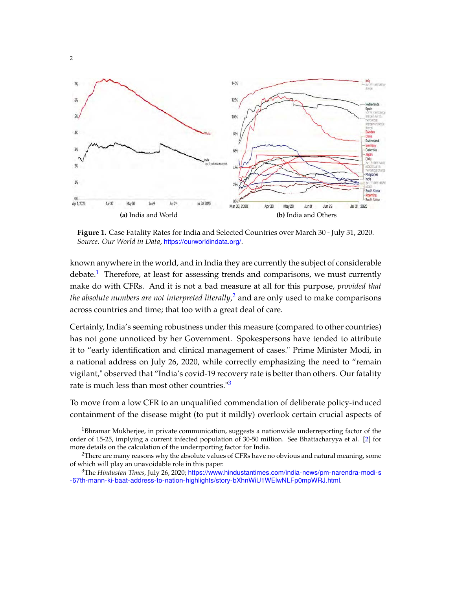<span id="page-3-0"></span>

**Figure 1.** Case Fatality Rates for India and Selected Countries over March 30 - July 31, 2020. *Source*. *Our World in Data*, <https://ourworldindata.org/>.

known anywhere in the world, and in India they are currently the subject of considerable debate.<sup>[1](#page-3-1)</sup> Therefore, at least for assessing trends and comparisons, we must currently make do with CFRs. And it is not a bad measure at all for this purpose, *provided that the absolute numbers are not interpreted literally*, [2](#page-3-2) and are only used to make comparisons across countries and time; that too with a great deal of care.

Certainly, India's seeming robustness under this measure (compared to other countries) has not gone unnoticed by her Government. Spokespersons have tended to attribute it to "early identification and clinical management of cases." Prime Minister Modi, in a national address on July 26, 2020, while correctly emphasizing the need to "remain vigilant," observed that "India's covid-19 recovery rate is better than others. Our fatality rate is much less than most other countries."[3](#page-3-3)

To move from a low CFR to an unqualified commendation of deliberate policy-induced containment of the disease might (to put it mildly) overlook certain crucial aspects of

<span id="page-3-1"></span> $1B$ hramar Mukherjee, in private communication, suggests a nationwide underreporting factor of the order of 15-25, implying a current infected population of 30-50 million. See Bhattacharyya et al. [\[2\]](#page-26-0) for more details on the calculation of the underrporting factor for India.

<span id="page-3-2"></span><sup>&</sup>lt;sup>2</sup>There are many reasons why the absolute values of CFRs have no obvious and natural meaning, some of which will play an unavoidable role in this paper.

<span id="page-3-3"></span><sup>3</sup>The *Hindustan Times*, July 26, 2020; [https://www.hindustantimes.com/india-news/pm-narendra-modi-s](https://www.hindustantimes.com/india-news/pm-narendra-modi-s-67th-mann-ki-baat-address-to-nation-highlights/story-bXhnWiU1WElwNLFp0mpWRJ.html) [-67th-mann-ki-baat-address-to-nation-highlights/story-bXhnWiU1WElwNLFp0mpWRJ.html](https://www.hindustantimes.com/india-news/pm-narendra-modi-s-67th-mann-ki-baat-address-to-nation-highlights/story-bXhnWiU1WElwNLFp0mpWRJ.html).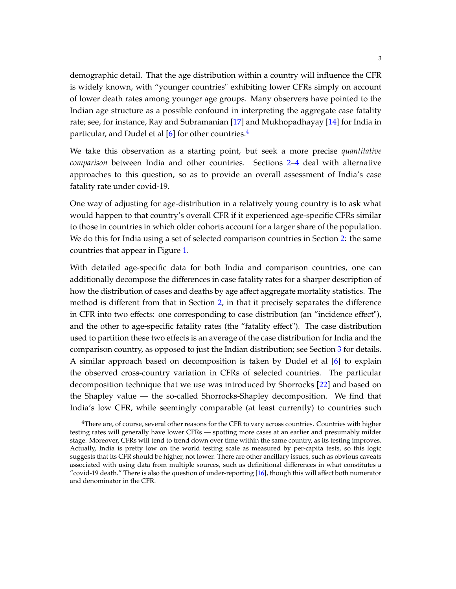demographic detail. That the age distribution within a country will influence the CFR is widely known, with "younger countries" exhibiting lower CFRs simply on account of lower death rates among younger age groups. Many observers have pointed to the Indian age structure as a possible confound in interpreting the aggregate case fatality rate; see, for instance, Ray and Subramanian [\[17\]](#page-27-0) and Mukhopadhayay [\[14\]](#page-27-1) for India in particular, and Dudel et al [\[6\]](#page-26-1) for other countries.<sup>[4](#page-4-0)</sup>

We take this observation as a starting point, but seek a more precise *quantitative comparison* between India and other countries. Sections [2–](#page-6-0)[4](#page-14-0) deal with alternative approaches to this question, so as to provide an overall assessment of India's case fatality rate under covid-19.

One way of adjusting for age-distribution in a relatively young country is to ask what would happen to that country's overall CFR if it experienced age-specific CFRs similar to those in countries in which older cohorts account for a larger share of the population. We do this for India using a set of selected comparison countries in Section [2:](#page-6-0) the same countries that appear in Figure [1.](#page-3-0)

With detailed age-specific data for both India and comparison countries, one can additionally decompose the differences in case fatality rates for a sharper description of how the distribution of cases and deaths by age affect aggregate mortality statistics. The method is different from that in Section [2,](#page-6-0) in that it precisely separates the difference in CFR into two effects: one corresponding to case distribution (an "incidence effect"), and the other to age-specific fatality rates (the "fatality effect"). The case distribution used to partition these two effects is an average of the case distribution for India and the comparison country, as opposed to just the Indian distribution; see Section [3](#page-10-0) for details. A similar approach based on decomposition is taken by Dudel et al [\[6\]](#page-26-1) to explain the observed cross-country variation in CFRs of selected countries. The particular decomposition technique that we use was introduced by Shorrocks [\[22\]](#page-28-0) and based on the Shapley value — the so-called Shorrocks-Shapley decomposition. We find that India's low CFR, while seemingly comparable (at least currently) to countries such

<span id="page-4-0"></span> $4$ There are, of course, several other reasons for the CFR to vary across countries. Countries with higher testing rates will generally have lower CFRs — spotting more cases at an earlier and presumably milder stage. Moreover, CFRs will tend to trend down over time within the same country, as its testing improves. Actually, India is pretty low on the world testing scale as measured by per-capita tests, so this logic suggests that its CFR should be higher, not lower. There are other ancillary issues, such as obvious caveats associated with using data from multiple sources, such as definitional differences in what constitutes a "covid-19 death." There is also the question of under-reporting  $[16]$ , though this will affect both numerator and denominator in the CFR.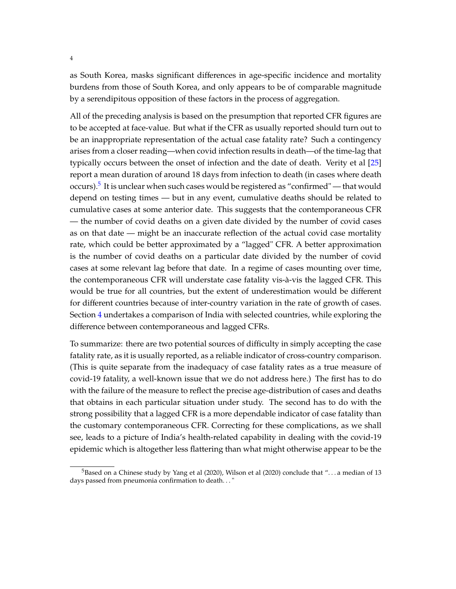as South Korea, masks significant differences in age-specific incidence and mortality burdens from those of South Korea, and only appears to be of comparable magnitude by a serendipitous opposition of these factors in the process of aggregation.

All of the preceding analysis is based on the presumption that reported CFR figures are to be accepted at face-value. But what if the CFR as usually reported should turn out to be an inappropriate representation of the actual case fatality rate? Such a contingency arises from a closer reading—when covid infection results in death—of the time-lag that typically occurs between the onset of infection and the date of death. Verity et al [\[25\]](#page-28-1) report a mean duration of around 18 days from infection to death (in cases where death occurs).<sup>[5](#page-5-0)</sup> It is unclear when such cases would be registered as "confirmed" — that would depend on testing times — but in any event, cumulative deaths should be related to cumulative cases at some anterior date. This suggests that the contemporaneous CFR — the number of covid deaths on a given date divided by the number of covid cases as on that date — might be an inaccurate reflection of the actual covid case mortality rate, which could be better approximated by a "lagged" CFR. A better approximation is the number of covid deaths on a particular date divided by the number of covid cases at some relevant lag before that date. In a regime of cases mounting over time, the contemporaneous CFR will understate case fatality vis-à-vis the lagged CFR. This would be true for all countries, but the extent of underestimation would be different for different countries because of inter-country variation in the rate of growth of cases. Section [4](#page-14-0) undertakes a comparison of India with selected countries, while exploring the difference between contemporaneous and lagged CFRs.

To summarize: there are two potential sources of difficulty in simply accepting the case fatality rate, as it is usually reported, as a reliable indicator of cross-country comparison. (This is quite separate from the inadequacy of case fatality rates as a true measure of covid-19 fatality, a well-known issue that we do not address here.) The first has to do with the failure of the measure to reflect the precise age-distribution of cases and deaths that obtains in each particular situation under study. The second has to do with the strong possibility that a lagged CFR is a more dependable indicator of case fatality than the customary contemporaneous CFR. Correcting for these complications, as we shall see, leads to a picture of India's health-related capability in dealing with the covid-19 epidemic which is altogether less flattering than what might otherwise appear to be the

<span id="page-5-0"></span><sup>&</sup>lt;sup>5</sup>Based on a Chinese study by Yang et al (2020), Wilson et al (2020) conclude that "... a median of 13 days passed from pneumonia confirmation to death. . . "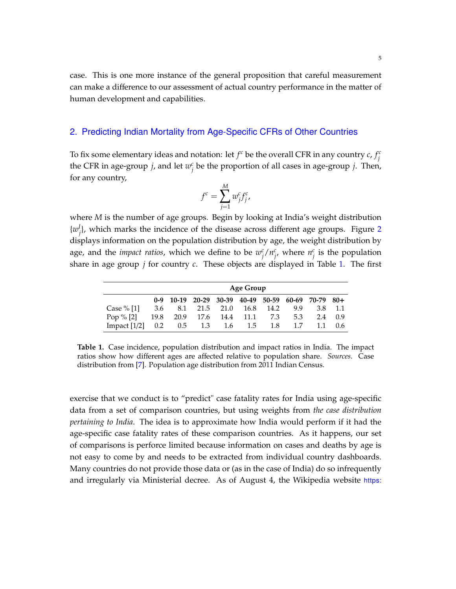case. This is one more instance of the general proposition that careful measurement can make a difference to our assessment of actual country performance in the matter of human development and capabilities.

#### <span id="page-6-0"></span>2. Predicting Indian Mortality from Age-Specific CFRs of Other Countries

To fix some elementary ideas and notation: let  $f^c$  be the overall CFR in any country  $c$ ,  $f^c_i$ *j* the CFR in age-group *j*, and let  $w_i^c$ *j* be the proportion of all cases in age-group *j*. Then, for any country,

$$
f^c = \sum_{j=1}^M w_j^c f_j^c,
$$

where *M* is the number of age groups. Begin by looking at India's weight distribution  ${w}$ <sup>*I*</sup> *j* }, which marks the incidence of the disease across different age groups. Figure [2](#page-7-0) displays information on the population distribution by age, the weight distribution by age, and the *impact ratios*, which we define to be  $w_i^c$ *j* /*n c*  $\int_j^c$ , where  $n_j^c$  $\frac{c}{j}$  is the population share in age group *j* for country *c*. These objects are displayed in Table [1.](#page-6-1) The first

<span id="page-6-1"></span>

|                                |     | Age Group |                              |  |     |     |                                                   |     |                 |  |  |  |
|--------------------------------|-----|-----------|------------------------------|--|-----|-----|---------------------------------------------------|-----|-----------------|--|--|--|
|                                |     |           |                              |  |     |     | 0-9 10-19 20-29 30-39 40-49 50-59 60-69 70-79 80+ |     |                 |  |  |  |
| Case $%$ [1]                   | 3.6 |           | 8.1 21.5 21.0 16.8 14.2      |  |     |     | 9.9                                               |     | 3.8 1.1         |  |  |  |
| Pop $% [2]$                    |     |           | 19.8 20.9 17.6 14.4 11.1 7.3 |  |     |     | 5.3                                               | 2.4 | 0.9             |  |  |  |
| Impact $[1/2]$ 0.2 0.5 1.3 1.6 |     |           |                              |  | 1.5 | 1.8 | 1.7                                               |     | $1.1 \quad 0.6$ |  |  |  |

**Table 1.** Case incidence, population distribution and impact ratios in India. The impact ratios show how different ages are affected relative to population share. *Sources*. Case distribution from [\[7\]](#page-26-2). Population age distribution from 2011 Indian Census.

exercise that we conduct is to "predict" case fatality rates for India using age-specific data from a set of comparison countries, but using weights from *the case distribution pertaining to India*. The idea is to approximate how India would perform if it had the age-specific case fatality rates of these comparison countries. As it happens, our set of comparisons is perforce limited because information on cases and deaths by age is not easy to come by and needs to be extracted from individual country dashboards. Many countries do not provide those data or (as in the case of India) do so infrequently and irregularly via Ministerial decree. As of August 4, the Wikipedia website [https:](https://en.wikipedia.org/wiki/Coronavirus_disease_2019)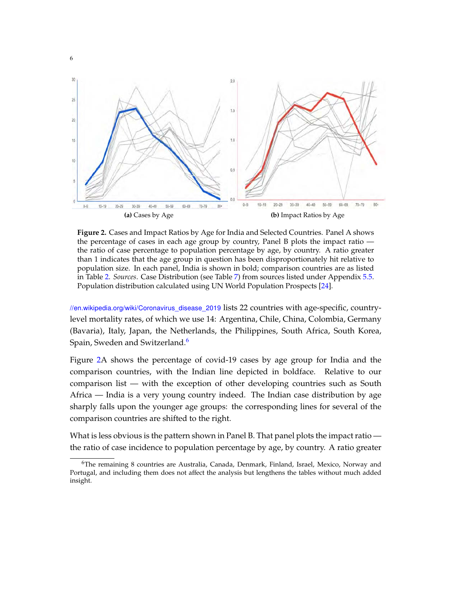<span id="page-7-0"></span>

**Figure 2.** Cases and Impact Ratios by Age for India and Selected Countries. Panel A shows the percentage of cases in each age group by country, Panel B plots the impact ratio the ratio of case percentage to population percentage by age, by country. A ratio greater than 1 indicates that the age group in question has been disproportionately hit relative to population size. In each panel, India is shown in bold; comparison countries are as listed in Table [2.](#page-9-0) *Sources*. Case Distribution (see Table [7\)](#page-20-0) from sources listed under Appendix [5.5.](#page-24-0) Population distribution calculated using UN World Population Prospects [\[24\]](#page-28-2).

[//en.wikipedia.org/wiki/Coronavirus\\_disease\\_2019](https://en.wikipedia.org/wiki/Coronavirus_disease_2019) lists 22 countries with age-specific, countrylevel mortality rates, of which we use 14: Argentina, Chile, China, Colombia, Germany (Bavaria), Italy, Japan, the Netherlands, the Philippines, South Africa, South Korea, Spain, Sweden and Switzerland.<sup>[6](#page-7-1)</sup>

Figure [2A](#page-7-0) shows the percentage of covid-19 cases by age group for India and the comparison countries, with the Indian line depicted in boldface. Relative to our comparison list — with the exception of other developing countries such as South Africa — India is a very young country indeed. The Indian case distribution by age sharply falls upon the younger age groups: the corresponding lines for several of the comparison countries are shifted to the right.

What is less obvious is the pattern shown in Panel B. That panel plots the impact ratio the ratio of case incidence to population percentage by age, by country. A ratio greater

<span id="page-7-1"></span> $6$ The remaining 8 countries are Australia, Canada, Denmark, Finland, Israel, Mexico, Norway and Portugal, and including them does not affect the analysis but lengthens the tables without much added insight.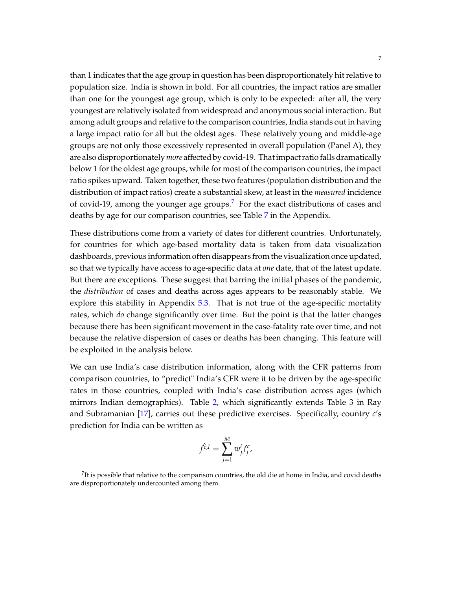than 1 indicates that the age group in question has been disproportionately hit relative to population size. India is shown in bold. For all countries, the impact ratios are smaller than one for the youngest age group, which is only to be expected: after all, the very youngest are relatively isolated from widespread and anonymous social interaction. But among adult groups and relative to the comparison countries, India stands out in having a large impact ratio for all but the oldest ages. These relatively young and middle-age groups are not only those excessively represented in overall population (Panel A), they are also disproportionately*more* affected by covid-19. That impact ratio falls dramatically below 1 for the oldest age groups, while for most of the comparison countries, the impact ratio spikes upward. Taken together, these two features (population distribution and the distribution of impact ratios) create a substantial skew, at least in the *measured* incidence of covid-19, among the younger age groups.<sup>[7](#page-8-0)</sup> For the exact distributions of cases and deaths by age for our comparison countries, see Table [7](#page-20-0) in the Appendix.

These distributions come from a variety of dates for different countries. Unfortunately, for countries for which age-based mortality data is taken from data visualization dashboards, previous information often disappears from the visualization once updated, so that we typically have access to age-specific data at *one* date, that of the latest update. But there are exceptions. These suggest that barring the initial phases of the pandemic, the *distribution* of cases and deaths across ages appears to be reasonably stable. We explore this stability in Appendix [5.3.](#page-22-0) That is not true of the age-specific mortality rates, which *do* change significantly over time. But the point is that the latter changes because there has been significant movement in the case-fatality rate over time, and not because the relative dispersion of cases or deaths has been changing. This feature will be exploited in the analysis below.

We can use India's case distribution information, along with the CFR patterns from comparison countries, to "predict" India's CFR were it to be driven by the age-specific rates in those countries, coupled with India's case distribution across ages (which mirrors Indian demographics). Table [2,](#page-9-0) which significantly extends Table 3 in Ray and Subramanian [\[17\]](#page-27-0), carries out these predictive exercises. Specifically, country *c*'s prediction for India can be written as

$$
\hat{f^{c,l}} = \sum_{j=1}^M w_j^l f_j^c,
$$

<span id="page-8-0"></span> $^{7}$ It is possible that relative to the comparison countries, the old die at home in India, and covid deaths are disproportionately undercounted among them.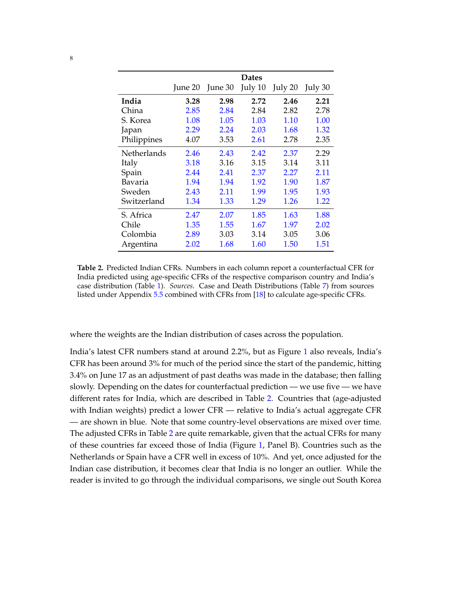<span id="page-9-0"></span>

|             |         |         | Dates   |         |         |
|-------------|---------|---------|---------|---------|---------|
|             | June 20 | June 30 | July 10 | July 20 | July 30 |
| India       | 3.28    | 2.98    | 2.72    | 2.46    | 2.21    |
| China       | 2.85    | 2.84    | 2.84    | 2.82    | 2.78    |
| S. Korea    | 1.08    | 1.05    | 1.03    | 1.10    | 1.00    |
| Japan       | 2.29    | 2.24    | 2.03    | 1.68    | 1.32    |
| Philippines | 4.07    | 3.53    | 2.61    | 2.78    | 2.35    |
| Netherlands | 2.46    | 2.43    | 2.42    | 2.37    | 2.29    |
| Italy       | 3.18    | 3.16    | 3.15    | 3.14    | 3.11    |
| Spain       | 2.44    | 2.41    | 2.37    | 2.27    | 2.11    |
| Bavaria     | 1.94    | 1.94    | 1.92    | 1.90    | 1.87    |
| Sweden      | 2.43    | 2.11    | 1.99    | 1.95    | 1.93    |
| Switzerland | 1.34    | 1.33    | 1.29    | 1.26    | 1.22    |
| S. Africa   | 2.47    | 2.07    | 1.85    | 1.63    | 1.88    |
| Chile       | 1.35    | 1.55    | 1.67    | 1.97    | 2.02    |
| Colombia    | 2.89    | 3.03    | 3.14    | 3.05    | 3.06    |
| Argentina   | 2.02    | 1.68    | 1.60    | 1.50    | 1.51    |

**Table 2.** Predicted Indian CFRs. Numbers in each column report a counterfactual CFR for India predicted using age-specific CFRs of the respective comparison country and India's case distribution (Table [1\)](#page-6-1). *Sources*. Case and Death Distributions (Table [7\)](#page-20-0) from sources listed under Appendix [5.5](#page-24-0) combined with CFRs from [\[18\]](#page-27-3) to calculate age-specific CFRs.

where the weights are the Indian distribution of cases across the population.

India's latest CFR numbers stand at around 2.2%, but as Figure [1](#page-3-0) also reveals, India's CFR has been around 3% for much of the period since the start of the pandemic, hitting 3.4% on June 17 as an adjustment of past deaths was made in the database; then falling slowly. Depending on the dates for counterfactual prediction — we use five — we have different rates for India, which are described in Table [2.](#page-9-0) Countries that (age-adjusted with Indian weights) predict a lower CFR — relative to India's actual aggregate CFR — are shown in blue. Note that some country-level observations are mixed over time. The adjusted CFRs in Table [2](#page-9-0) are quite remarkable, given that the actual CFRs for many of these countries far exceed those of India (Figure [1,](#page-3-0) Panel B). Countries such as the Netherlands or Spain have a CFR well in excess of 10%. And yet, once adjusted for the Indian case distribution, it becomes clear that India is no longer an outlier. While the reader is invited to go through the individual comparisons, we single out South Korea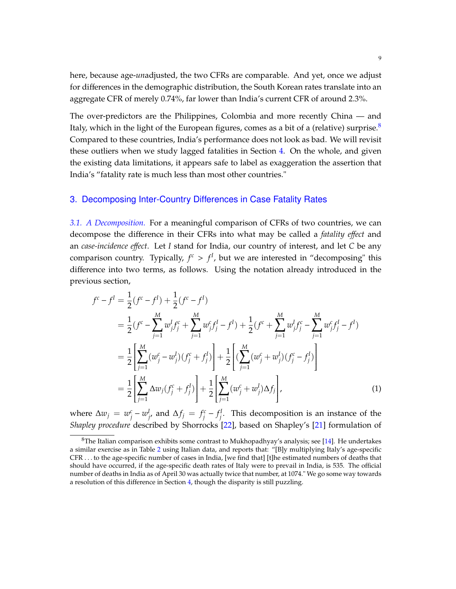here, because age-*un*adjusted, the two CFRs are comparable. And yet, once we adjust for differences in the demographic distribution, the South Korean rates translate into an aggregate CFR of merely 0.74%, far lower than India's current CFR of around 2.3%.

The over-predictors are the Philippines, Colombia and more recently China — and Italy, which in the light of the European figures, comes as a bit of a (relative) surprise. $8$ Compared to these countries, India's performance does not look as bad. We will revisit these outliers when we study lagged fatalities in Section [4.](#page-14-0) On the whole, and given the existing data limitations, it appears safe to label as exaggeration the assertion that India's "fatality rate is much less than most other countries."

#### <span id="page-10-0"></span>3. Decomposing Inter-Country Differences in Case Fatality Rates

*3.1. A Decomposition.* For a meaningful comparison of CFRs of two countries, we can decompose the difference in their CFRs into what may be called a *fatality e*ff*ect* and an *case-incidence e*ff*ect*. Let *I* stand for India, our country of interest, and let *C* be any comparison country. Typically,  $f^c > f^I$ , but we are interested in "decomposing" this difference into two terms, as follows. Using the notation already introduced in the previous section,

<span id="page-10-2"></span>
$$
f^{c} - f^{I} = \frac{1}{2} (f^{c} - f^{I}) + \frac{1}{2} (f^{c} - f^{I})
$$
  
\n
$$
= \frac{1}{2} (f^{c} - \sum_{j=1}^{M} w_{j}^{I} f_{j}^{c} + \sum_{j=1}^{M} w_{j}^{c} f_{j}^{I} - f^{I}) + \frac{1}{2} (f^{c} + \sum_{j=1}^{M} w_{j}^{I} f_{j}^{c} - \sum_{j=1}^{M} w_{j}^{c} f_{j}^{I} - f^{I})
$$
  
\n
$$
= \frac{1}{2} \left[ \sum_{j=1}^{M} (w_{j}^{c} - w_{j}^{I})(f_{j}^{c} + f_{j}^{I}) \right] + \frac{1}{2} \left[ \sum_{j=1}^{M} (w_{j}^{c} + w_{j}^{I})(f_{j}^{c} - f_{j}^{I}) \right]
$$
  
\n
$$
= \frac{1}{2} \left[ \sum_{j=1}^{M} \Delta w_{j} (f_{j}^{c} + f_{j}^{I}) \right] + \frac{1}{2} \left[ \sum_{j=1}^{M} (w_{j}^{c} + w_{j}^{I}) \Delta f_{j} \right],
$$
 (1)

where  $\Delta w_j = w_j^c$  $\frac{c}{j} - w_j^I$  $\int$ *<sub><i>j*</sub></sub> and  $\Delta f$ *j* =  $f$ <sup>*c*</sup></sup>*j*  $\int_j^c -f_j^l$  $j<sup>t</sup>$ . This decomposition is an instance of the *Shapley procedure* described by Shorrocks [\[22\]](#page-28-0), based on Shapley's [\[21\]](#page-27-4) formulation of

<span id="page-10-1"></span> ${}^{8}$ The Italian comparison exhibits some contrast to Mukhopadhyay's analysis; see [\[14\]](#page-27-1). He undertakes a similar exercise as in Table [2](#page-9-0) using Italian data, and reports that: "[B]y multiplying Italy's age-specific CFR . . . to the age-specific number of cases in India, [we find that] [t]he estimated numbers of deaths that should have occurred, if the age-specific death rates of Italy were to prevail in India, is 535. The official number of deaths in India as of April 30 was actually twice that number, at 1074." We go some way towards a resolution of this difference in Section [4,](#page-14-0) though the disparity is still puzzling.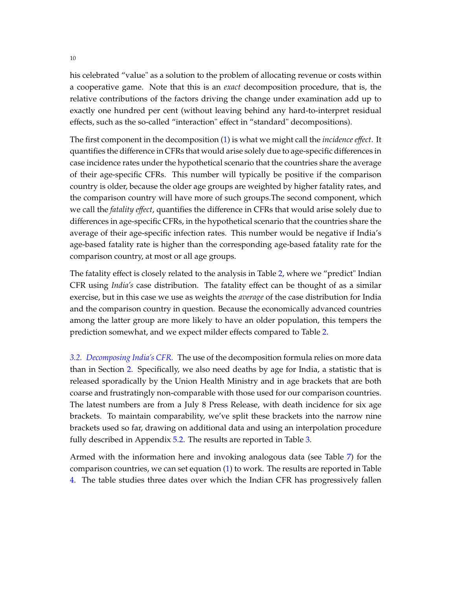his celebrated "value" as a solution to the problem of allocating revenue or costs within a cooperative game. Note that this is an *exact* decomposition procedure, that is, the relative contributions of the factors driving the change under examination add up to exactly one hundred per cent (without leaving behind any hard-to-interpret residual effects, such as the so-called "interaction" effect in "standard" decompositions).

The first component in the decomposition [\(1\)](#page-10-2) is what we might call the *incidence e*ff*ect*. It quantifies the difference in CFRs that would arise solely due to age-specific differences in case incidence rates under the hypothetical scenario that the countries share the average of their age-specific CFRs. This number will typically be positive if the comparison country is older, because the older age groups are weighted by higher fatality rates, and the comparison country will have more of such groups.The second component, which we call the *fatality e*ff*ect*, quantifies the difference in CFRs that would arise solely due to differences in age-specific CFRs, in the hypothetical scenario that the countries share the average of their age-specific infection rates. This number would be negative if India's age-based fatality rate is higher than the corresponding age-based fatality rate for the comparison country, at most or all age groups.

The fatality effect is closely related to the analysis in Table [2,](#page-9-0) where we "predict" Indian CFR using *India's* case distribution. The fatality effect can be thought of as a similar exercise, but in this case we use as weights the *average* of the case distribution for India and the comparison country in question. Because the economically advanced countries among the latter group are more likely to have an older population, this tempers the prediction somewhat, and we expect milder effects compared to Table [2.](#page-9-0)

*3.2. Decomposing India's CFR.* The use of the decomposition formula relies on more data than in Section [2.](#page-6-0) Specifically, we also need deaths by age for India, a statistic that is released sporadically by the Union Health Ministry and in age brackets that are both coarse and frustratingly non-comparable with those used for our comparison countries. The latest numbers are from a July 8 Press Release, with death incidence for six age brackets. To maintain comparability, we've split these brackets into the narrow nine brackets used so far, drawing on additional data and using an interpolation procedure fully described in Appendix [5.2.](#page-21-0) The results are reported in Table [3.](#page-12-0)

Armed with the information here and invoking analogous data (see Table [7\)](#page-20-0) for the comparison countries, we can set equation [\(1\)](#page-10-2) to work. The results are reported in Table [4.](#page-13-0) The table studies three dates over which the Indian CFR has progressively fallen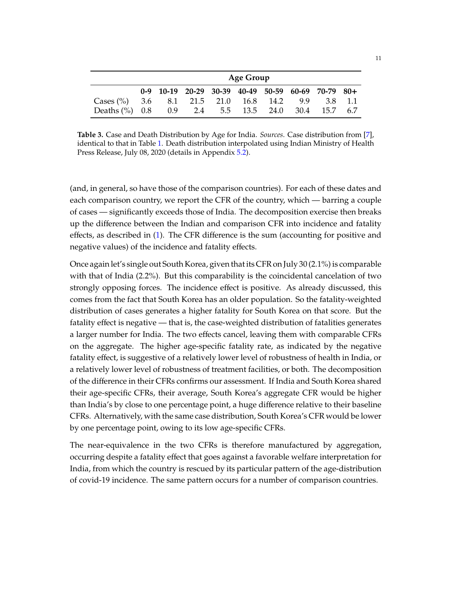<span id="page-12-0"></span>

|                                                  | <b>Age Group</b>                                  |                            |  |  |  |     |      |         |  |  |
|--------------------------------------------------|---------------------------------------------------|----------------------------|--|--|--|-----|------|---------|--|--|
|                                                  | 0-9 10-19 20-29 30-39 40-49 50-59 60-69 70-79 80+ |                            |  |  |  |     |      |         |  |  |
| Cases $\binom{9}{0}$ 3.6 8.1 21.5 21.0 16.8 14.2 |                                                   |                            |  |  |  | 9.9 |      | 3.8 1.1 |  |  |
| Deaths $(\%)$ 0.8                                |                                                   | 0.9 2.4 5.5 13.5 24.0 30.4 |  |  |  |     | 15.7 | -6.7    |  |  |

**Table 3.** Case and Death Distribution by Age for India. *Sources*. Case distribution from [\[7\]](#page-26-2), identical to that in Table [1.](#page-6-1) Death distribution interpolated using Indian Ministry of Health Press Release, July 08, 2020 (details in Appendix [5.2\)](#page-21-0).

(and, in general, so have those of the comparison countries). For each of these dates and each comparison country, we report the CFR of the country, which — barring a couple of cases — significantly exceeds those of India. The decomposition exercise then breaks up the difference between the Indian and comparison CFR into incidence and fatality effects, as described in [\(1\)](#page-10-2). The CFR difference is the sum (accounting for positive and negative values) of the incidence and fatality effects.

Once again let's single out South Korea, given that its CFR on July 30 (2.1%) is comparable with that of India (2.2%). But this comparability is the coincidental cancelation of two strongly opposing forces. The incidence effect is positive. As already discussed, this comes from the fact that South Korea has an older population. So the fatality-weighted distribution of cases generates a higher fatality for South Korea on that score. But the fatality effect is negative — that is, the case-weighted distribution of fatalities generates a larger number for India. The two effects cancel, leaving them with comparable CFRs on the aggregate. The higher age-specific fatality rate, as indicated by the negative fatality effect, is suggestive of a relatively lower level of robustness of health in India, or a relatively lower level of robustness of treatment facilities, or both. The decomposition of the difference in their CFRs confirms our assessment. If India and South Korea shared their age-specific CFRs, their average, South Korea's aggregate CFR would be higher than India's by close to one percentage point, a huge difference relative to their baseline CFRs. Alternatively, with the same case distribution, South Korea's CFR would be lower by one percentage point, owing to its low age-specific CFRs.

The near-equivalence in the two CFRs is therefore manufactured by aggregation, occurring despite a fatality effect that goes against a favorable welfare interpretation for India, from which the country is rescued by its particular pattern of the age-distribution of covid-19 incidence. The same pattern occurs for a number of comparison countries.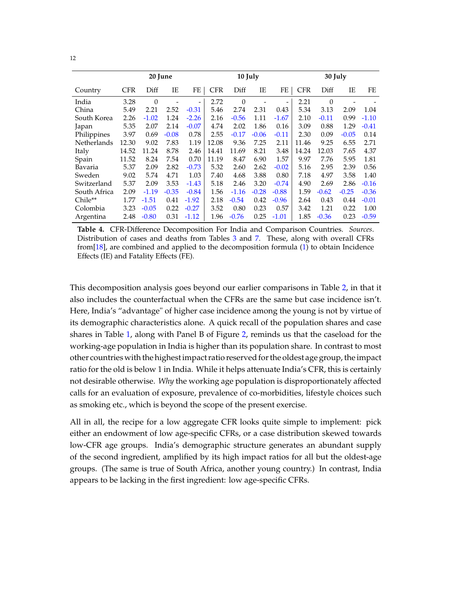<span id="page-13-0"></span>

|              |            | 20 June        |         |         |            | 10 July  |         |                              |            | 30 July |         |         |
|--------------|------------|----------------|---------|---------|------------|----------|---------|------------------------------|------------|---------|---------|---------|
| Country      | <b>CFR</b> | Diff           | IΕ      | FE      | <b>CFR</b> | Diff     | IE      | FE                           | <b>CFR</b> | Diff    | ΙE      | FE      |
| India        | 3.28       | $\overline{0}$ |         | -       | 2.72       | $\theta$ |         | $\qquad \qquad \blacksquare$ | 2.21       | 0       |         |         |
| China        | 5.49       | 2.21           | 2.52    | $-0.31$ | 5.46       | 2.74     | 2.31    | 0.43                         | 5.34       | 3.13    | 2.09    | 1.04    |
| South Korea  | 2.26       | $-1.02$        | 1.24    | $-2.26$ | 2.16       | $-0.56$  | 1.11    | $-1.67$                      | 2.10       | $-0.11$ | 0.99    | $-1.10$ |
| Japan        | 5.35       | 2.07           | 2.14    | $-0.07$ | 4.74       | 2.02     | 1.86    | 0.16                         | 3.09       | 0.88    | 1.29    | $-0.41$ |
| Philippines  | 3.97       | 0.69           | $-0.08$ | 0.78    | 2.55       | $-0.17$  | $-0.06$ | $-0.11$                      | 2.30       | 0.09    | $-0.05$ | 0.14    |
| Netherlands  | 12.30      | 9.02           | 7.83    | 1.19    | 12.08      | 9.36     | 7.25    | 2.11                         | 11.46      | 9.25    | 6.55    | 2.71    |
| Italy        | 14.52      | 11.24          | 8.78    | 2.46    | 14.41      | 11.69    | 8.21    | 3.48                         | 14.24      | 12.03   | 7.65    | 4.37    |
| Spain        | 11.52      | 8.24           | 7.54    | 0.70    | 11.19      | 8.47     | 6.90    | 1.57                         | 9.97       | 7.76    | 5.95    | 1.81    |
| Bavaria      | 5.37       | 2.09           | 2.82    | $-0.73$ | 5.32       | 2.60     | 2.62    | $-0.02$                      | 5.16       | 2.95    | 2.39    | 0.56    |
| Sweden       | 9.02       | 5.74           | 4.71    | 1.03    | 7.40       | 4.68     | 3.88    | 0.80                         | 7.18       | 4.97    | 3.58    | 1.40    |
| Switzerland  | 5.37       | 2.09           | 3.53    | $-1.43$ | 5.18       | 2.46     | 3.20    | $-0.74$                      | 4.90       | 2.69    | 2.86    | $-0.16$ |
| South Africa | 2.09       | $-1.19$        | $-0.35$ | $-0.84$ | 1.56       | $-1.16$  | $-0.28$ | $-0.88$                      | 1.59       | $-0.62$ | $-0.25$ | $-0.36$ |
| Chile**      | 1.77       | $-1.51$        | 0.41    | $-1.92$ | 2.18       | $-0.54$  | 0.42    | $-0.96$                      | 2.64       | 0.43    | 0.44    | $-0.01$ |
| Colombia     | 3.23       | $-0.05$        | 0.22    | $-0.27$ | 3.52       | 0.80     | 0.23    | 0.57                         | 3.42       | 1.21    | 0.22    | 1.00    |
| Argentina    | 2.48       | $-0.80$        | 0.31    | $-1.12$ | 1.96       | $-0.76$  | 0.25    | $-1.01$                      | 1.85       | $-0.36$ | 0.23    | $-0.59$ |

**Table 4.** CFR-Difference Decomposition For India and Comparison Countries. *Sources*. Distribution of cases and deaths from Tables [3](#page-12-0) and [7.](#page-20-0) These, along with overall CFRs from[\[18\]](#page-27-3), are combined and applied to the decomposition formula [\(1\)](#page-10-2) to obtain Incidence Effects (IE) and Fatality Effects (FE).

This decomposition analysis goes beyond our earlier comparisons in Table [2,](#page-9-0) in that it also includes the counterfactual when the CFRs are the same but case incidence isn't. Here, India's "advantage" of higher case incidence among the young is not by virtue of its demographic characteristics alone. A quick recall of the population shares and case shares in Table [1,](#page-6-1) along with Panel B of Figure [2,](#page-7-0) reminds us that the caseload for the working-age population in India is higher than its population share. In contrast to most other countries with the highest impact ratio reserved for the oldest age group, the impact ratio for the old is below 1 in India. While it helps attenuate India's CFR, this is certainly not desirable otherwise. *Why* the working age population is disproportionately affected calls for an evaluation of exposure, prevalence of co-morbidities, lifestyle choices such as smoking etc., which is beyond the scope of the present exercise.

All in all, the recipe for a low aggregate CFR looks quite simple to implement: pick either an endowment of low age-specific CFRs, or a case distribution skewed towards low-CFR age groups. India's demographic structure generates an abundant supply of the second ingredient, amplified by its high impact ratios for all but the oldest-age groups. (The same is true of South Africa, another young country.) In contrast, India appears to be lacking in the first ingredient: low age-specific CFRs.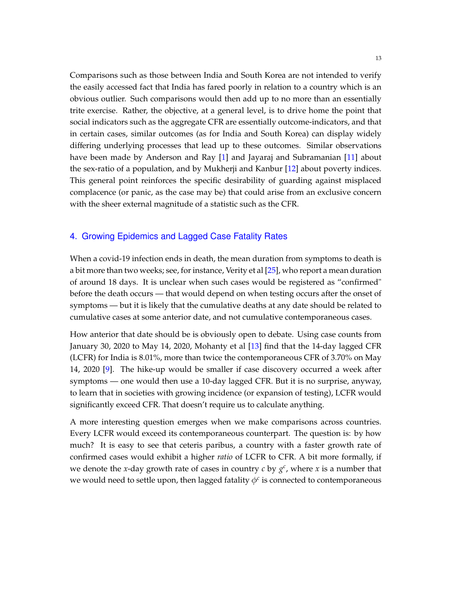Comparisons such as those between India and South Korea are not intended to verify the easily accessed fact that India has fared poorly in relation to a country which is an obvious outlier. Such comparisons would then add up to no more than an essentially trite exercise. Rather, the objective, at a general level, is to drive home the point that social indicators such as the aggregate CFR are essentially outcome-indicators, and that in certain cases, similar outcomes (as for India and South Korea) can display widely differing underlying processes that lead up to these outcomes. Similar observations have been made by Anderson and Ray [\[1\]](#page-26-3) and Jayaraj and Subramanian [\[11\]](#page-27-5) about the sex-ratio of a population, and by Mukherji and Kanbur [\[12\]](#page-27-6) about poverty indices. This general point reinforces the specific desirability of guarding against misplaced complacence (or panic, as the case may be) that could arise from an exclusive concern with the sheer external magnitude of a statistic such as the CFR.

# <span id="page-14-0"></span>4. Growing Epidemics and Lagged Case Fatality Rates

When a covid-19 infection ends in death, the mean duration from symptoms to death is a bit more than two weeks; see, for instance, Verity et al [\[25\]](#page-28-1), who report a mean duration of around 18 days. It is unclear when such cases would be registered as "confirmed" before the death occurs — that would depend on when testing occurs after the onset of symptoms — but it is likely that the cumulative deaths at any date should be related to cumulative cases at some anterior date, and not cumulative contemporaneous cases.

How anterior that date should be is obviously open to debate. Using case counts from January 30, 2020 to May 14, 2020, Mohanty et al [\[13\]](#page-27-7) find that the 14-day lagged CFR (LCFR) for India is 8.01%, more than twice the contemporaneous CFR of 3.70% on May 14, 2020 [\[9\]](#page-26-4). The hike-up would be smaller if case discovery occurred a week after symptoms — one would then use a 10-day lagged CFR. But it is no surprise, anyway, to learn that in societies with growing incidence (or expansion of testing), LCFR would significantly exceed CFR. That doesn't require us to calculate anything.

A more interesting question emerges when we make comparisons across countries. Every LCFR would exceed its contemporaneous counterpart. The question is: by how much? It is easy to see that ceteris paribus, a country with a faster growth rate of confirmed cases would exhibit a higher *ratio* of LCFR to CFR. A bit more formally, if we denote the *x*-day growth rate of cases in country *c* by  $g^c$ , where *x* is a number that we would need to settle upon, then lagged fatality  $\phi^c$  is connected to contemporaneous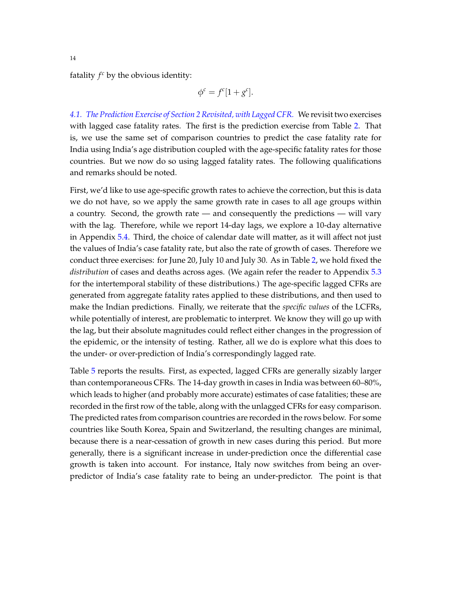fatality  $f^c$  by the obvious identity:

$$
\phi^c = f^c[1+g^c].
$$

*4.1. The Prediction Exercise of Section [2](#page-6-0) Revisited, with Lagged CFR.* We revisit two exercises with lagged case fatality rates. The first is the prediction exercise from Table [2.](#page-9-0) That is, we use the same set of comparison countries to predict the case fatality rate for India using India's age distribution coupled with the age-specific fatality rates for those countries. But we now do so using lagged fatality rates. The following qualifications and remarks should be noted.

First, we'd like to use age-specific growth rates to achieve the correction, but this is data we do not have, so we apply the same growth rate in cases to all age groups within a country. Second, the growth rate — and consequently the predictions — will vary with the lag. Therefore, while we report 14-day lags, we explore a 10-day alternative in Appendix [5.4.](#page-24-1) Third, the choice of calendar date will matter, as it will affect not just the values of India's case fatality rate, but also the rate of growth of cases. Therefore we conduct three exercises: for June 20, July 10 and July 30. As in Table [2,](#page-9-0) we hold fixed the *distribution* of cases and deaths across ages. (We again refer the reader to Appendix [5.3](#page-22-0) for the intertemporal stability of these distributions.) The age-specific lagged CFRs are generated from aggregate fatality rates applied to these distributions, and then used to make the Indian predictions. Finally, we reiterate that the *specific values* of the LCFRs, while potentially of interest, are problematic to interpret. We know they will go up with the lag, but their absolute magnitudes could reflect either changes in the progression of the epidemic, or the intensity of testing. Rather, all we do is explore what this does to the under- or over-prediction of India's correspondingly lagged rate.

Table [5](#page-16-0) reports the results. First, as expected, lagged CFRs are generally sizably larger than contemporaneous CFRs. The 14-day growth in cases in India was between 60–80%, which leads to higher (and probably more accurate) estimates of case fatalities; these are recorded in the first row of the table, along with the unlagged CFRs for easy comparison. The predicted rates from comparison countries are recorded in the rows below. For some countries like South Korea, Spain and Switzerland, the resulting changes are minimal, because there is a near-cessation of growth in new cases during this period. But more generally, there is a significant increase in under-prediction once the differential case growth is taken into account. For instance, Italy now switches from being an overpredictor of India's case fatality rate to being an under-predictor. The point is that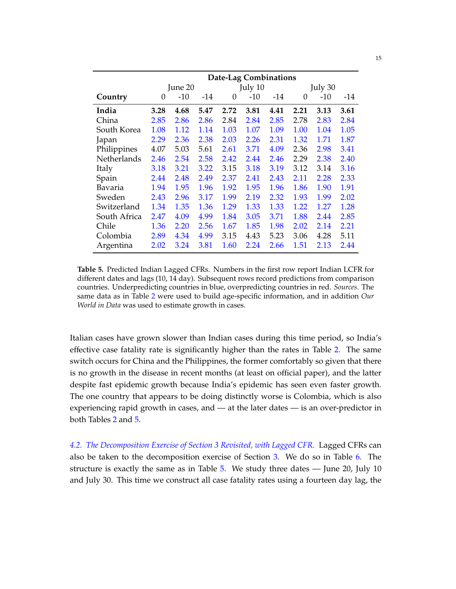<span id="page-16-0"></span>

|              | Date-Lag Combinations |         |      |      |         |      |      |         |      |  |
|--------------|-----------------------|---------|------|------|---------|------|------|---------|------|--|
|              |                       | June 20 |      |      | July 10 |      |      | July 30 |      |  |
| Country      | $\Omega$              | $-10$   | -14  | 0    | -10     | -14  | 0    | -10     | -14  |  |
| India        | 3.28                  | 4.68    | 5.47 | 2.72 | 3.81    | 4.41 | 2.21 | 3.13    | 3.61 |  |
| China        | 2.85                  | 2.86    | 2.86 | 2.84 | 2.84    | 2.85 | 2.78 | 2.83    | 2.84 |  |
| South Korea  | 1.08                  | 1.12    | 1.14 | 1.03 | 1.07    | 1.09 | 1.00 | 1.04    | 1.05 |  |
| Japan        | 2.29                  | 2.36    | 2.38 | 2.03 | 2.26    | 2.31 | 1.32 | 1.71    | 1.87 |  |
| Philippines  | 4.07                  | 5.03    | 5.61 | 2.61 | 3.71    | 4.09 | 2.36 | 2.98    | 3.41 |  |
| Netherlands  | 2.46                  | 2.54    | 2.58 | 2.42 | 2.44    | 2.46 | 2.29 | 2.38    | 2.40 |  |
| Italy        | 3.18                  | 3.21    | 3.22 | 3.15 | 3.18    | 3.19 | 3.12 | 3.14    | 3.16 |  |
| Spain        | 2.44                  | 2.48    | 2.49 | 2.37 | 2.41    | 2.43 | 2.11 | 2.28    | 2.33 |  |
| Bavaria      | 1.94                  | 1.95    | 1.96 | 1.92 | 1.95    | 1.96 | 1.86 | 1.90    | 1.91 |  |
| Sweden       | 2.43                  | 2.96    | 3.17 | 1.99 | 2.19    | 2.32 | 1.93 | 1.99    | 2.02 |  |
| Switzerland  | 1.34                  | 1.35    | 1.36 | 1.29 | 1.33    | 1.33 | 1.22 | 1.27    | 1.28 |  |
| South Africa | 2.47                  | 4.09    | 4.99 | 1.84 | 3.05    | 3.71 | 1.88 | 2.44    | 2.85 |  |
| Chile        | 1.36                  | 2.20    | 2.56 | 1.67 | 1.85    | 1.98 | 2.02 | 2.14    | 2.21 |  |
| Colombia     | 2.89                  | 4.34    | 4.99 | 3.15 | 4.43    | 5.23 | 3.06 | 4.28    | 5.11 |  |
| Argentina    | 2.02                  | 3.24    | 3.81 | 1.60 | 2.24    | 2.66 | 1.51 | 2.13    | 2.44 |  |

**Table 5.** Predicted Indian Lagged CFRs. Numbers in the first row report Indian LCFR for different dates and lags (10, 14 day). Subsequent rows record predictions from comparison countries. Underpredicting countries in blue, overpredicting countries in red. *Sources*. The same data as in Table [2](#page-9-0) were used to build age-specific information, and in addition *Our World in Data* was used to estimate growth in cases.

Italian cases have grown slower than Indian cases during this time period, so India's effective case fatality rate is significantly higher than the rates in Table [2.](#page-9-0) The same switch occurs for China and the Philippines, the former comfortably so given that there is no growth in the disease in recent months (at least on official paper), and the latter despite fast epidemic growth because India's epidemic has seen even faster growth. The one country that appears to be doing distinctly worse is Colombia, which is also experiencing rapid growth in cases, and — at the later dates — is an over-predictor in both Tables [2](#page-9-0) and [5.](#page-16-0)

*4.2. The Decomposition Exercise of Section [3](#page-10-0) Revisited, with Lagged CFR.* Lagged CFRs can also be taken to the decomposition exercise of Section [3.](#page-10-0) We do so in Table [6.](#page-17-0) The structure is exactly the same as in Table [5.](#page-16-0) We study three dates — June 20, July 10 and July 30. This time we construct all case fatality rates using a fourteen day lag, the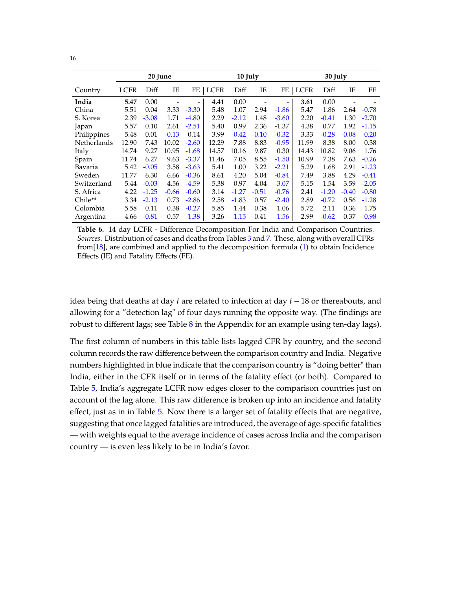<span id="page-17-0"></span>

|             |       | 20 June |         |         | 10 July     |         |         |                          | 30 July     |         |         |         |
|-------------|-------|---------|---------|---------|-------------|---------|---------|--------------------------|-------------|---------|---------|---------|
| Country     | LCFR  | Diff    | ΙE      | FE      | <b>LCFR</b> | Diff    | ΙE      | FE                       | <b>LCFR</b> | Diff    | IE      | FE      |
| India       | 5.47  | 0.00    |         | -       | 4.41        | 0.00    |         | $\overline{\phantom{a}}$ | 3.61        | 0.00    |         |         |
| China       | 5.51  | 0.04    | 3.33    | $-3.30$ | 5.48        | 1.07    | 2.94    | $-1.86$                  | 5.47        | 1.86    | 2.64    | $-0.78$ |
| S. Korea    | 2.39  | $-3.08$ | 1.71    | $-4.80$ | 2.29        | $-2.12$ | 1.48    | $-3.60$                  | 2.20        | $-0.41$ | 1.30    | $-2.70$ |
| Japan       | 5.57  | 0.10    | 2.61    | $-2.51$ | 5.40        | 0.99    | 2.36    | $-1.37$                  | 4.38        | 0.77    | 1.92    | $-1.15$ |
| Philippines | 5.48  | 0.01    | $-0.13$ | 0.14    | 3.99        | $-0.42$ | $-0.10$ | $-0.32$                  | 3.33        | $-0.28$ | $-0.08$ | $-0.20$ |
| Netherlands | 12.90 | 7.43    | 10.02   | $-2.60$ | 12.29       | 7.88    | 8.83    | $-0.95$                  | 11.99       | 8.38    | 8.00    | 0.38    |
| Italy       | 14.74 | 9.27    | 10.95   | $-1.68$ | 14.57       | 10.16   | 9.87    | 0.30                     | 14.43       | 10.82   | 9.06    | 1.76    |
| Spain       | 11.74 | 6.27    | 9.63    | $-3.37$ | 11.46       | 7.05    | 8.55    | $-1.50$                  | 10.99       | 7.38    | 7.63    | $-0.26$ |
| Bavaria     | 5.42  | $-0.05$ | 3.58    | $-3.63$ | 5.41        | 1.00    | 3.22    | $-2.21$                  | 5.29        | 1.68    | 2.91    | $-1.23$ |
| Sweden      | 11.77 | 6.30    | 6.66    | $-0.36$ | 8.61        | 4.20    | 5.04    | $-0.84$                  | 7.49        | 3.88    | 4.29    | $-0.41$ |
| Switzerland | 5.44  | $-0.03$ | 4.56    | $-4.59$ | 5.38        | 0.97    | 4.04    | $-3.07$                  | 5.15        | 1.54    | 3.59    | $-2.05$ |
| S. Africa   | 4.22  | $-1.25$ | $-0.66$ | $-0.60$ | 3.14        | $-1.27$ | $-0.51$ | $-0.76$                  | 2.41        | $-1.20$ | $-0.40$ | $-0.80$ |
| Chile**     | 3.34  | $-2.13$ | 0.73    | $-2.86$ | 2.58        | $-1.83$ | 0.57    | $-2.40$                  | 2.89        | $-0.72$ | 0.56    | $-1.28$ |
| Colombia    | 5.58  | 0.11    | 0.38    | $-0.27$ | 5.85        | 1.44    | 0.38    | 1.06                     | 5.72        | 2.11    | 0.36    | 1.75    |
| Argentina   | 4.66  | $-0.81$ | 0.57    | $-1.38$ | 3.26        | $-1.15$ | 0.41    | $-1.56$                  | 2.99        | $-0.62$ | 0.37    | $-0.98$ |

**Table 6.** 14 day LCFR - Difference Decomposition For India and Comparison Countries. *Sources*. Distribution of cases and deaths from Tables [3](#page-12-0) and [7.](#page-20-0) These, along with overall CFRs from[\[18\]](#page-27-3), are combined and applied to the decomposition formula [\(1\)](#page-10-2) to obtain Incidence Effects (IE) and Fatality Effects (FE).

idea being that deaths at day *t* are related to infection at day *t* − 18 or thereabouts, and allowing for a "detection lag" of four days running the opposite way. (The findings are robust to different lags; see Table  $8$  in the Appendix for an example using ten-day lags).

The first column of numbers in this table lists lagged CFR by country, and the second column records the raw difference between the comparison country and India. Negative numbers highlighted in blue indicate that the comparison country is "doing better" than India, either in the CFR itself or in terms of the fatality effect (or both). Compared to Table [5,](#page-16-0) India's aggregate LCFR now edges closer to the comparison countries just on account of the lag alone. This raw difference is broken up into an incidence and fatality effect, just as in in Table [5.](#page-16-0) Now there is a larger set of fatality effects that are negative, suggesting that once lagged fatalities are introduced, the average of age-specific fatalities — with weights equal to the average incidence of cases across India and the comparison country — is even less likely to be in India's favor.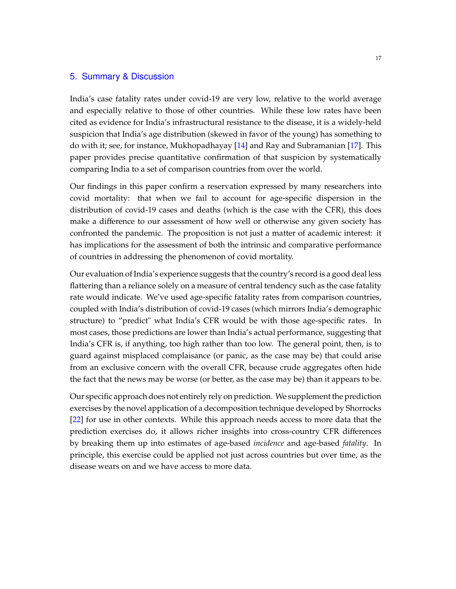#### 5. Summary & Discussion

India's case fatality rates under covid-19 are very low, relative to the world average and especially relative to those of other countries. While these low rates have been cited as evidence for India's infrastructural resistance to the disease, it is a widely-held suspicion that India's age distribution (skewed in favor of the young) has something to do with it; see, for instance, Mukhopadhayay [\[14\]](#page-27-1) and Ray and Subramanian [\[17\]](#page-27-0). This paper provides precise quantitative confirmation of that suspicion by systematically comparing India to a set of comparison countries from over the world.

Our findings in this paper confirm a reservation expressed by many researchers into covid mortality: that when we fail to account for age-specific dispersion in the distribution of covid-19 cases and deaths (which is the case with the CFR), this does make a difference to our assessment of how well or otherwise any given society has confronted the pandemic. The proposition is not just a matter of academic interest: it has implications for the assessment of both the intrinsic and comparative performance of countries in addressing the phenomenon of covid mortality.

Our evaluation of India's experience suggests that the country's record is a good deal less flattering than a reliance solely on a measure of central tendency such as the case fatality rate would indicate. We've used age-specific fatality rates from comparison countries, coupled with India's distribution of covid-19 cases (which mirrors India's demographic structure) to "predict" what India's CFR would be with those age-specific rates. In most cases, those predictions are lower than India's actual performance, suggesting that India's CFR is, if anything, too high rather than too low. The general point, then, is to guard against misplaced complaisance (or panic, as the case may be) that could arise from an exclusive concern with the overall CFR, because crude aggregates often hide the fact that the news may be worse (or better, as the case may be) than it appears to be.

Our specific approach does not entirely rely on prediction. We supplement the prediction exercises by the novel application of a decomposition technique developed by Shorrocks [\[22\]](#page-28-0) for use in other contexts. While this approach needs access to more data that the prediction exercises do, it allows richer insights into cross-country CFR differences by breaking them up into estimates of age-based *incidence* and age-based *fatality*. In principle, this exercise could be applied not just across countries but over time, as the disease wears on and we have access to more data.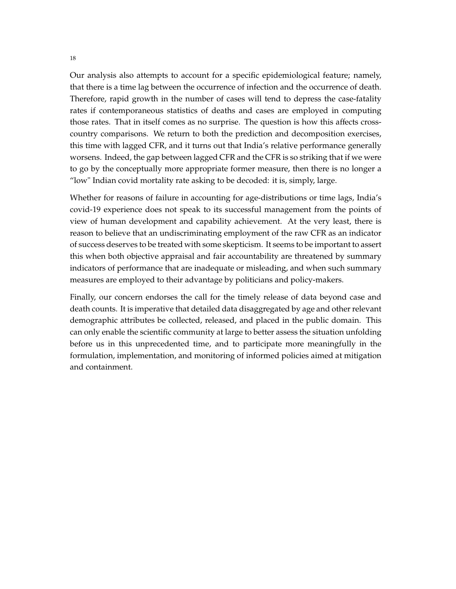Our analysis also attempts to account for a specific epidemiological feature; namely, that there is a time lag between the occurrence of infection and the occurrence of death. Therefore, rapid growth in the number of cases will tend to depress the case-fatality rates if contemporaneous statistics of deaths and cases are employed in computing those rates. That in itself comes as no surprise. The question is how this affects crosscountry comparisons. We return to both the prediction and decomposition exercises, this time with lagged CFR, and it turns out that India's relative performance generally worsens. Indeed, the gap between lagged CFR and the CFR is so striking that if we were to go by the conceptually more appropriate former measure, then there is no longer a "low" Indian covid mortality rate asking to be decoded: it is, simply, large.

Whether for reasons of failure in accounting for age-distributions or time lags, India's covid-19 experience does not speak to its successful management from the points of view of human development and capability achievement. At the very least, there is reason to believe that an undiscriminating employment of the raw CFR as an indicator of success deserves to be treated with some skepticism. It seems to be important to assert this when both objective appraisal and fair accountability are threatened by summary indicators of performance that are inadequate or misleading, and when such summary measures are employed to their advantage by politicians and policy-makers.

Finally, our concern endorses the call for the timely release of data beyond case and death counts. It is imperative that detailed data disaggregated by age and other relevant demographic attributes be collected, released, and placed in the public domain. This can only enable the scientific community at large to better assess the situation unfolding before us in this unprecedented time, and to participate more meaningfully in the formulation, implementation, and monitoring of informed policies aimed at mitigation and containment.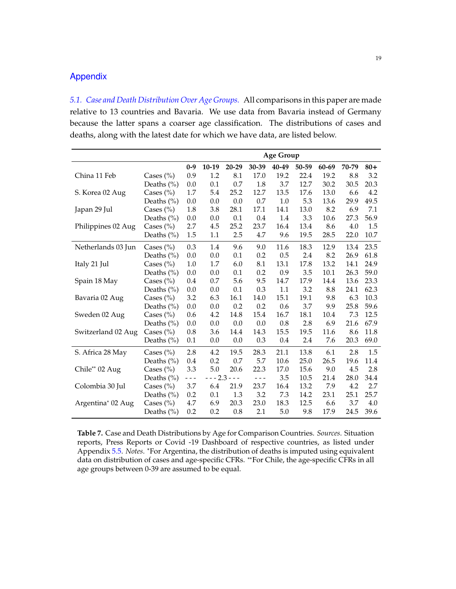### Appendix

*5.1. Case and Death Distribution Over Age Groups.* All comparisons in this paper are made relative to 13 countries and Bavaria. We use data from Bavaria instead of Germany because the latter spans a coarser age classification. The distributions of cases and deaths, along with the latest date for which we have data, are listed below.

<span id="page-20-0"></span>

|                    |                | <b>Age Group</b> |          |                   |         |       |       |       |       |       |
|--------------------|----------------|------------------|----------|-------------------|---------|-------|-------|-------|-------|-------|
|                    |                | $0 - 9$          | 10-19    | 20-29             | 30-39   | 40-49 | 50-59 | 60-69 | 70-79 | $80+$ |
| China 11 Feb       | Cases $(\% )$  | 0.9              | 1.2      | 8.1               | 17.0    | 19.2  | 22.4  | 19.2  | 8.8   | 3.2   |
|                    | Deaths $(\% )$ | 0.0              | 0.1      | 0.7               | 1.8     | 3.7   | 12.7  | 30.2  | 30.5  | 20.3  |
| S. Korea 02 Aug    | Cases $(\% )$  | 1.7              | 5.4      | 25.2              | 12.7    | 13.5  | 17.6  | 13.0  | 6.6   | 4.2   |
|                    | Deaths $(\% )$ | 0.0              | 0.0      | 0.0               | 0.7     | 1.0   | 5.3   | 13.6  | 29.9  | 49.5  |
| Japan 29 Jul       | Cases $(\% )$  | 1.8              | 3.8      | 28.1              | 17.1    | 14.1  | 13.0  | 8.2   | 6.9   | 7.1   |
|                    | Deaths $(\% )$ | 0.0              | 0.0      | 0.1               | 0.4     | 1.4   | 3.3   | 10.6  | 27.3  | 56.9  |
| Philippines 02 Aug | Cases $(\% )$  | 2.7              | 4.5      | 25.2              | 23.7    | 16.4  | 13.4  | 8.6   | 4.0   | 1.5   |
|                    | Deaths $(\% )$ | 1.5              | 1.1      | 2.5               | 4.7     | 9.6   | 19.5  | 28.5  | 22.0  | 10.7  |
| Netherlands 03 Jun | Cases $(\% )$  | 0.3              | 1.4      | 9.6               | 9.0     | 11.6  | 18.3  | 12.9  | 13.4  | 23.5  |
|                    | Deaths $(\% )$ | 0.0              | 0.0      | 0.1               | 0.2     | 0.5   | 2.4   | 8.2   | 26.9  | 61.8  |
| Italy 21 Jul       | Cases $(\% )$  | 1.0              | 1.7      | 6.0               | 8.1     | 13.1  | 17.8  | 13.2  | 14.1  | 24.9  |
|                    | Deaths $(\% )$ | 0.0              | 0.0      | 0.1               | 0.2     | 0.9   | 3.5   | 10.1  | 26.3  | 59.0  |
| Spain 18 May       | Cases $(\% )$  | 0.4              | 0.7      | 5.6               | 9.5     | 14.7  | 17.9  | 14.4  | 13.6  | 23.3  |
|                    | Deaths $(\% )$ | 0.0              | 0.0      | 0.1               | 0.3     | 1.1   | 3.2   | 8.8   | 24.1  | 62.3  |
| Bavaria 02 Aug     | Cases $(\% )$  | 3.2              | 6.3      | 16.1              | 14.0    | 15.1  | 19.1  | 9.8   | 6.3   | 10.3  |
|                    | Deaths $(\% )$ | 0.0              | 0.0      | 0.2               | 0.2     | 0.6   | 3.7   | 9.9   | 25.8  | 59.6  |
| Sweden 02 Aug      | Cases $(\% )$  | 0.6              | 4.2      | 14.8              | 15.4    | 16.7  | 18.1  | 10.4  | 7.3   | 12.5  |
|                    | Deaths $(\% )$ | 0.0              | 0.0      | 0.0               | 0.0     | 0.8   | 2.8   | 6.9   | 21.6  | 67.9  |
| Switzerland 02 Aug | Cases $(\% )$  | 0.8              | 3.6      | 14.4              | 14.3    | 15.5  | 19.5  | 11.6  | 8.6   | 11.8  |
|                    | Deaths $(\% )$ | 0.1              | 0.0      | 0.0               | 0.3     | 0.4   | 2.4   | 7.6   | 20.3  | 69.0  |
| S. Africa 28 May   | Cases $(\% )$  | 2.8              | 4.2      | 19.5              | 28.3    | 21.1  | 13.8  | 6.1   | 2.8   | 1.5   |
|                    | Deaths $(\% )$ | 0.4              | 0.2      | 0.7               | 5.7     | 10.6  | 25.0  | 26.5  | 19.6  | 11.4  |
| Chile** 02 Aug     | Cases $(\% )$  | 3.3              | 5.0      | 20.6              | 22.3    | 17.0  | 15.6  | 9.0   | 4.5   | 2.8   |
|                    | Deaths $(\% )$ | $- - -$          | $-- 2.3$ | $\omega = \omega$ | $- - -$ | 3.5   | 10.5  | 21.4  | 28.0  | 34.4  |
| Colombia 30 Jul    | Cases $(\% )$  | 3.7              | 6.4      | 21.9              | 23.7    | 16.4  | 13.2  | 7.9   | 4.2   | 2.7   |
|                    | Deaths $(\% )$ | 0.2              | 0.1      | 1.3               | 3.2     | 7.3   | 14.2  | 23.1  | 25.1  | 25.7  |
| Argentina* 02 Aug  | Cases $(\% )$  | 4.7              | 6.9      | 20.3              | 23.0    | 18.3  | 12.5  | 6.6   | 3.7   | 4.0   |
|                    | Deaths $(\% )$ | 0.2              | 0.2      | 0.8               | 2.1     | 5.0   | 9.8   | 17.9  | 24.5  | 39.6  |

**Table 7.** Case and Death Distributions by Age for Comparison Countries. *Sources*. Situation reports, Press Reports or Covid -19 Dashboard of respective countries, as listed under Appendix [5.5.](#page-24-0) *Notes*. <sup>∗</sup>For Argentina, the distribution of deaths is imputed using equivalent data on distribution of cases and age-specific CFRs. \*\*For Chile, the age-specific CFRs in all age groups between 0-39 are assumed to be equal.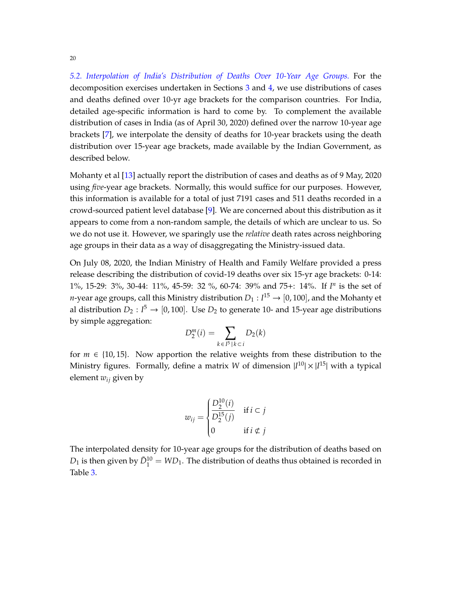<span id="page-21-0"></span>*5.2. Interpolation of India's Distribution of Deaths Over 10-Year Age Groups.* For the decomposition exercises undertaken in Sections [3](#page-10-0) and [4,](#page-14-0) we use distributions of cases and deaths defined over 10-yr age brackets for the comparison countries. For India, detailed age-specific information is hard to come by. To complement the available distribution of cases in India (as of April 30, 2020) defined over the narrow 10-year age brackets [\[7\]](#page-26-2), we interpolate the density of deaths for 10-year brackets using the death distribution over 15-year age brackets, made available by the Indian Government, as described below.

Mohanty et al [\[13\]](#page-27-7) actually report the distribution of cases and deaths as of 9 May, 2020 using *five*-year age brackets. Normally, this would suffice for our purposes. However, this information is available for a total of just 7191 cases and 511 deaths recorded in a crowd-sourced patient level database [\[9\]](#page-26-4). We are concerned about this distribution as it appears to come from a non-random sample, the details of which are unclear to us. So we do not use it. However, we sparingly use the *relative* death rates across neighboring age groups in their data as a way of disaggregating the Ministry-issued data.

On July 08, 2020, the Indian Ministry of Health and Family Welfare provided a press release describing the distribution of covid-19 deaths over six 15-yr age brackets: 0-14: 1%, 15-29: 3%, 30-44: 11%, 45-59: 32 %, 60-74: 39% and 75+: 14%. If *I n* is the set of *n*-year age groups, call this Ministry distribution  $D_1: I^{15} \rightarrow [0,100]$ , and the Mohanty et al distribution  $D_2: I^5 \to [0, 100]$ . Use  $D_2$  to generate 10- and 15-year age distributions by simple aggregation:

$$
D_2^m(i) = \sum_{k \in I^5 \mid k \subset i} D_2(k)
$$

for  $m \in \{10, 15\}$ . Now apportion the relative weights from these distribution to the Ministry figures. Formally, define a matrix *W* of dimension  $|I^{10}| \times |I^{15}|$  with a typical element *wij* given by

$$
w_{ij} = \begin{cases} \frac{D_2^{10}(i)}{D_2^{15}(j)} & \text{if } i \subset j \\ 0 & \text{if } i \not\subset j \end{cases}
$$

The interpolated density for 10-year age groups for the distribution of deaths based on  $D_1$  is then given by  $\tilde{D}_1^{10} = W D_1$ . The distribution of deaths thus obtained is recorded in Table [3.](#page-12-0)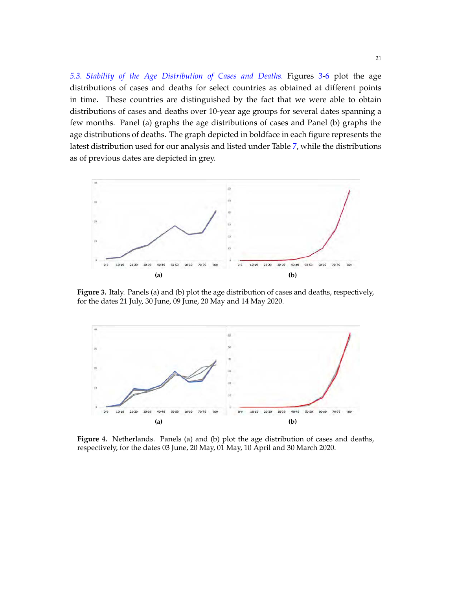<span id="page-22-0"></span>*5.3. Stability of the Age Distribution of Cases and Deaths.* Figures [3-](#page-22-1)[6](#page-23-0) plot the age distributions of cases and deaths for select countries as obtained at different points in time. These countries are distinguished by the fact that we were able to obtain distributions of cases and deaths over 10-year age groups for several dates spanning a few months. Panel (a) graphs the age distributions of cases and Panel (b) graphs the age distributions of deaths. The graph depicted in boldface in each figure represents the latest distribution used for our analysis and listed under Table [7,](#page-20-0) while the distributions as of previous dates are depicted in grey.

<span id="page-22-1"></span>

**Figure 3.** Italy. Panels (a) and (b) plot the age distribution of cases and deaths, respectively, for the dates 21 July, 30 June, 09 June, 20 May and 14 May 2020.



**Figure 4.** Netherlands. Panels (a) and (b) plot the age distribution of cases and deaths, respectively, for the dates 03 June, 20 May, 01 May, 10 April and 30 March 2020.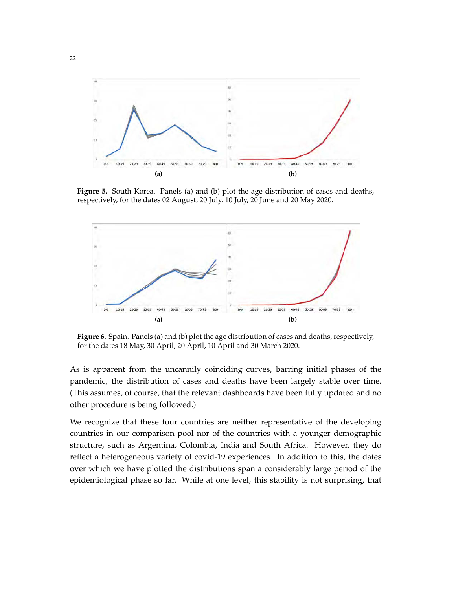

**Figure 5.** South Korea. Panels (a) and (b) plot the age distribution of cases and deaths, respectively, for the dates 02 August, 20 July, 10 July, 20 June and 20 May 2020.

<span id="page-23-0"></span>

**Figure 6.** Spain. Panels (a) and (b) plot the age distribution of cases and deaths, respectively, for the dates 18 May, 30 April, 20 April, 10 April and 30 March 2020.

As is apparent from the uncannily coinciding curves, barring initial phases of the pandemic, the distribution of cases and deaths have been largely stable over time. (This assumes, of course, that the relevant dashboards have been fully updated and no other procedure is being followed.)

We recognize that these four countries are neither representative of the developing countries in our comparison pool nor of the countries with a younger demographic structure, such as Argentina, Colombia, India and South Africa. However, they do reflect a heterogeneous variety of covid-19 experiences. In addition to this, the dates over which we have plotted the distributions span a considerably large period of the epidemiological phase so far. While at one level, this stability is not surprising, that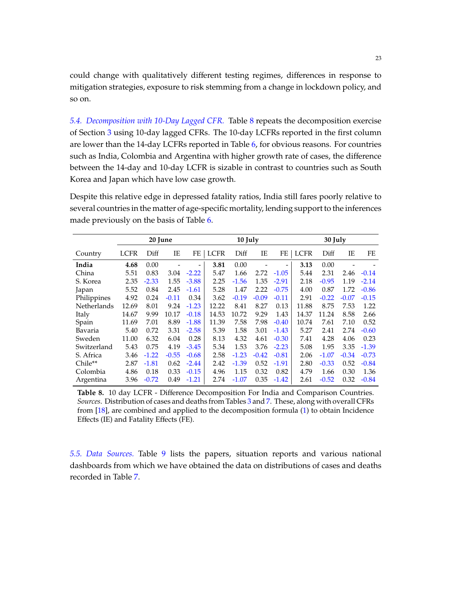could change with qualitatively different testing regimes, differences in response to mitigation strategies, exposure to risk stemming from a change in lockdown policy, and so on.

<span id="page-24-1"></span>*5.4. Decomposition with 10-Day Lagged CFR.* Table [8](#page-24-2) repeats the decomposition exercise of Section [3](#page-10-0) using 10-day lagged CFRs. The 10-day LCFRs reported in the first column are lower than the 14-day LCFRs reported in Table [6,](#page-17-0) for obvious reasons. For countries such as India, Colombia and Argentina with higher growth rate of cases, the difference between the 14-day and 10-day LCFR is sizable in contrast to countries such as South Korea and Japan which have low case growth.

Despite this relative edge in depressed fatality ratios, India still fares poorly relative to several countries in the matter of age-specific mortality, lending support to the inferences made previously on the basis of Table [6.](#page-17-0)

<span id="page-24-2"></span>

|             |             | 20 June |         |         |             | 10 July |         |         |             | 30 July |         |         |
|-------------|-------------|---------|---------|---------|-------------|---------|---------|---------|-------------|---------|---------|---------|
| Country     | <b>LCFR</b> | Diff    | IE      | FE      | <b>LCFR</b> | Diff    | ΙE      | FE      | <b>LCFR</b> | Diff    | IΕ      | FE      |
| India       | 4.68        | 0.00    |         |         | 3.81        | 0.00    |         |         | 3.13        | 0.00    |         |         |
| China       | 5.51        | 0.83    | 3.04    | $-2.22$ | 5.47        | 1.66    | 2.72    | $-1.05$ | 5.44        | 2.31    | 2.46    | $-0.14$ |
| S. Korea    | 2.35        | $-2.33$ | 1.55    | $-3.88$ | 2.25        | $-1.56$ | 1.35    | $-2.91$ | 2.18        | $-0.95$ | 1.19    | $-2.14$ |
| Japan       | 5.52        | 0.84    | 2.45    | $-1.61$ | 5.28        | 1.47    | 2.22    | $-0.75$ | 4.00        | 0.87    | 1.72    | $-0.86$ |
| Philippines | 4.92        | 0.24    | $-0.11$ | 0.34    | 3.62        | $-0.19$ | $-0.09$ | $-0.11$ | 2.91        | $-0.22$ | $-0.07$ | $-0.15$ |
| Netherlands | 12.69       | 8.01    | 9.24    | $-1.23$ | 12.22       | 8.41    | 8.27    | 0.13    | 11.88       | 8.75    | 7.53    | 1.22    |
| Italy       | 14.67       | 9.99    | 10.17   | $-0.18$ | 14.53       | 10.72   | 9.29    | 1.43    | 14.37       | 11.24   | 8.58    | 2.66    |
| Spain       | 11.69       | 7.01    | 8.89    | $-1.88$ | 11.39       | 7.58    | 7.98    | $-0.40$ | 10.74       | 7.61    | 7.10    | 0.52    |
| Bavaria     | 5.40        | 0.72    | 3.31    | $-2.58$ | 5.39        | 1.58    | 3.01    | $-1.43$ | 5.27        | 2.41    | 2.74    | $-0.60$ |
| Sweden      | 11.00       | 6.32    | 6.04    | 0.28    | 8.13        | 4.32    | 4.61    | $-0.30$ | 7.41        | 4.28    | 4.06    | 0.23    |
| Switzerland | 5.43        | 0.75    | 4.19    | $-3.45$ | 5.34        | 1.53    | 3.76    | $-2.23$ | 5.08        | 1.95    | 3.35    | $-1.39$ |
| S. Africa   | 3.46        | $-1.22$ | $-0.55$ | $-0.68$ | 2.58        | $-1.23$ | $-0.42$ | $-0.81$ | 2.06        | $-1.07$ | $-0.34$ | $-0.73$ |
| Chile**     | 2.87        | $-1.81$ | 0.62    | $-2.44$ | 2.42        | $-1.39$ | 0.52    | $-1.91$ | 2.80        | $-0.33$ | 0.52    | $-0.84$ |
| Colombia    | 4.86        | 0.18    | 0.33    | $-0.15$ | 4.96        | 1.15    | 0.32    | 0.82    | 4.79        | 1.66    | 0.30    | 1.36    |
| Argentina   | 3.96        | $-0.72$ | 0.49    | $-1.21$ | 2.74        | $-1.07$ | 0.35    | $-1.42$ | 2.61        | $-0.52$ | 0.32    | $-0.84$ |

**Table 8.** 10 day LCFR - Difference Decomposition For India and Comparison Countries. *Sources*. Distribution of cases and deaths from Tables [3](#page-12-0) and [7.](#page-20-0) These, along with overall CFRs from [\[18\]](#page-27-3), are combined and applied to the decomposition formula [\(1\)](#page-10-2) to obtain Incidence Effects (IE) and Fatality Effects (FE).

<span id="page-24-0"></span>*5.5. Data Sources.* Table [9](#page-25-0) lists the papers, situation reports and various national dashboards from which we have obtained the data on distributions of cases and deaths recorded in Table [7.](#page-20-0)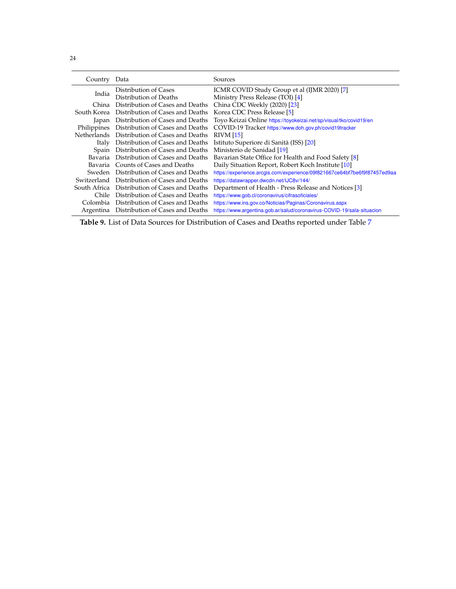<span id="page-25-0"></span>

| Country      | Data                                         | Sources                                                                   |
|--------------|----------------------------------------------|---------------------------------------------------------------------------|
|              | Distribution of Cases                        | ICMR COVID Study Group et al (IJMR 2020) [7]                              |
| India        | Distribution of Deaths                       | Ministry Press Release (TOI) [4]                                          |
| China:       | Distribution of Cases and Deaths             | China CDC Weekly (2020) [23]                                              |
| South Korea  | Distribution of Cases and Deaths             | Korea CDC Press Release [5]                                               |
| Japan        | Distribution of Cases and Deaths             | Toyo Keizai Online https://toyokeizai.net/sp/visual/tko/covid19/en        |
| Philippines  | Distribution of Cases and Deaths             | COVID-19 Tracker https://www.doh.gov.ph/covid19tracker                    |
|              | Netherlands Distribution of Cases and Deaths | <b>RIVM</b> [15]                                                          |
| <b>Italy</b> | Distribution of Cases and Deaths             | Istituto Superiore di Sanità (ISS) [20]                                   |
| Spain        | Distribution of Cases and Deaths             | Ministerio de Sanidad [19]                                                |
| Bavaria      | Distribution of Cases and Deaths             | Bavarian State Office for Health and Food Safety [8]                      |
|              | Bavaria Counts of Cases and Deaths           | Daily Situation Report, Robert Koch Institute [10]                        |
| Sweden       | Distribution of Cases and Deaths             | https://experience.arcgis.com/experience/09f821667ce64bf7be6f9f87457ed9aa |
| Switzerland  | Distribution of Cases and Deaths             | https://datawrapper.dwcdn.net/IJC8v/144/                                  |
| South Africa | Distribution of Cases and Deaths             | Department of Health - Press Release and Notices [3]                      |
| Chile        | Distribution of Cases and Deaths             | https://www.gob.cl/coronavirus/cifrasoficiales/                           |
| Colombia     | Distribution of Cases and Deaths             | https://www.ins.gov.co/Noticias/Paginas/Coronavirus.aspx                  |
|              | Argentina Distribution of Cases and Deaths   | https://www.argentina.gob.ar/salud/coronavirus-COVID-19/sala-situacion    |

**Table 9.** List of Data Sources for Distribution of Cases and Deaths reported under Table [7](#page-20-0)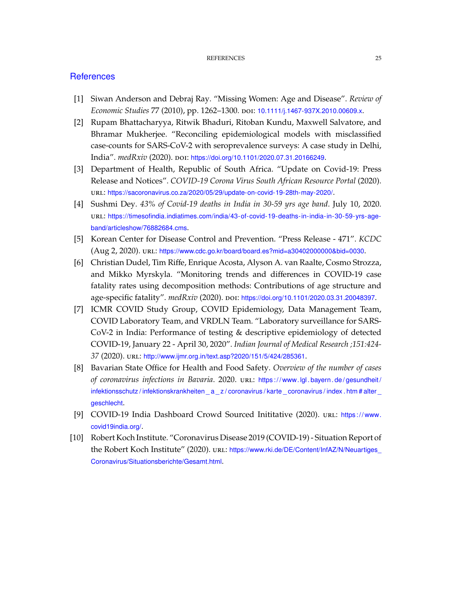## **References**

- <span id="page-26-3"></span>[1] Siwan Anderson and Debraj Ray. "Missing Women: Age and Disease". *Review of Economic Studies* 77 (2010), pp. 1262–1300. doi: [10.1111/j.1467-937X.2010.00609.x](https://doi.org/10.1111/j.1467-937X.2010.00609.x).
- <span id="page-26-0"></span>[2] Rupam Bhattacharyya, Ritwik Bhaduri, Ritoban Kundu, Maxwell Salvatore, and Bhramar Mukherjee. "Reconciling epidemiological models with misclassified case-counts for SARS-CoV-2 with seroprevalence surveys: A case study in Delhi, India". *medRxiv* (2020). poi: [https://doi.org/10.1101/2020.07.31.20166249](https://doi.org/https://doi.org/10.1101/2020.07.31.20166249).
- <span id="page-26-9"></span>[3] Department of Health, Republic of South Africa. "Update on Covid-19: Press Release and Notices". *COVID-19 Corona Virus South African Resource Portal* (2020). url: <https://sacoronavirus.co.za/2020/05/29/update-on-covid-19-28th-may-2020/>.
- <span id="page-26-5"></span>[4] Sushmi Dey. *43% of Covid-19 deaths in India in 30-59 yrs age band*. July 10, 2020. url: [https://timesofindia.indiatimes.com/india/43-of-covid-19-deaths-in-india-in-30-59-yrs-age](https://timesofindia.indiatimes.com/india/43-of-covid-19-deaths-in-india-in-30-59-yrs-age-band/articleshow/76882684.cms)[band/articleshow/76882684.cms](https://timesofindia.indiatimes.com/india/43-of-covid-19-deaths-in-india-in-30-59-yrs-age-band/articleshow/76882684.cms).
- <span id="page-26-6"></span>[5] Korean Center for Disease Control and Prevention. "Press Release - 471". *KCDC* (Aug 2, 2020). url: <https://www.cdc.go.kr/board/board.es?mid=a30402000000&bid=0030>.
- <span id="page-26-1"></span>[6] Christian Dudel, Tim Riffe, Enrique Acosta, Alyson A. van Raalte, Cosmo Strozza, and Mikko Myrskyla. "Monitoring trends and differences in COVID-19 case fatality rates using decomposition methods: Contributions of age structure and age-specific fatality". *medRxiv* (2020). doi: [https://doi.org/10.1101/2020.03.31.20048397](https://doi.org/https://doi.org/10.1101/2020.03.31.20048397).
- <span id="page-26-2"></span>[7] ICMR COVID Study Group, COVID Epidemiology, Data Management Team, COVID Laboratory Team, and VRDLN Team. "Laboratory surveillance for SARS-CoV-2 in India: Performance of testing & descriptive epidemiology of detected COVID-19, January 22 - April 30, 2020". *Indian Journal of Medical Research ;151:424- 37* (2020). url: <http://www.ijmr.org.in/text.asp?2020/151/5/424/285361>.
- <span id="page-26-7"></span>[8] Bavarian State Office for Health and Food Safety. *Overview of the number of cases of coronavirus infections in Bavaria*. 2020. url: https://www.lgl.bayern.de/gesundheit/ infektionsschutz / infektionskrankheiten \_a \_z / coronavirus / karte \_coronavirus / index . htm # alter \_ [geschlecht](https://www.lgl.bayern.de/gesundheit/infektionsschutz/infektionskrankheiten_a_z/coronavirus/karte_coronavirus/index.htm#alter_geschlecht).
- <span id="page-26-4"></span>[9] COVID-19 India Dashboard Crowd Sourced Inititative (2020). url: https://www. [covid19india.org/](https://www.covid19india.org/).
- <span id="page-26-8"></span>[10] Robert Koch Institute. "Coronavirus Disease 2019 (COVID-19) - Situation Report of the Robert Koch Institute" (2020). url: https://www.rki.de/DE/Content/InfAZ/N/Neuartiges [Coronavirus/Situationsberichte/Gesamt.html](https://www.rki.de/DE/Content/InfAZ/N/Neuartiges_Coronavirus/Situationsberichte/Gesamt.html).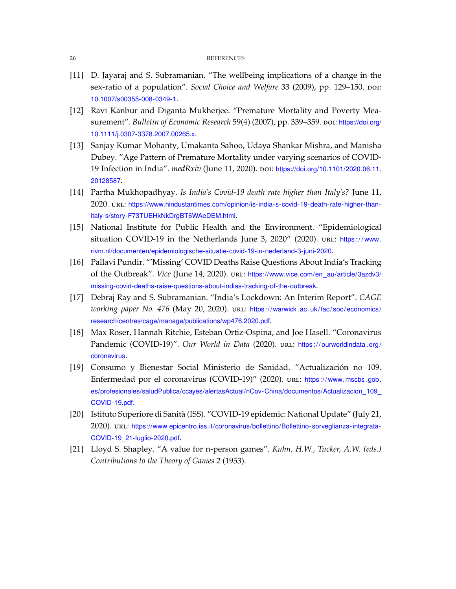- <span id="page-27-5"></span>[11] D. Jayaraj and S. Subramanian. "The wellbeing implications of a change in the sex-ratio of a population". *Social Choice and Welfare* 33 (2009), pp. 129–150. por: [10.1007/s00355-008-0349-1](https://doi.org/10.1007/s00355-008-0349-1).
- <span id="page-27-6"></span>[12] Ravi Kanbur and Diganta Mukherjee. "Premature Mortality and Poverty Measurement". *Bulletin of Economic Research* 59(4) (2007), pp. 339–359. por: [https://doi.org/](https://doi.org/https://doi.org/10.1111/j.0307-3378.2007.00265.x) [10.1111/j.0307-3378.2007.00265.x](https://doi.org/https://doi.org/10.1111/j.0307-3378.2007.00265.x).
- <span id="page-27-7"></span>[13] Sanjay Kumar Mohanty, Umakanta Sahoo, Udaya Shankar Mishra, and Manisha Dubey. "Age Pattern of Premature Mortality under varying scenarios of COVID-19 Infection in India". *medRxiv* (June 11, 2020). doi: [https://doi.org/10.1101/2020.06.11.](https://doi.org/https://doi.org/10.1101/2020.06.11.20128587) [20128587](https://doi.org/https://doi.org/10.1101/2020.06.11.20128587).
- <span id="page-27-1"></span>[14] Partha Mukhopadhyay. *Is India's Covid-19 death rate higher than Italy's?* June 11, 2020. url: [https://www.hindustantimes.com/opinion/is-india-s-covid-19-death-rate-higher-than](https://www.hindustantimes.com/opinion/is-india-s-covid-19-death-rate-higher-than-italy-s/story-F73TUEHkNkDrgBT6WAeDEM.html)[italy-s/story-F73TUEHkNkDrgBT6WAeDEM.html](https://www.hindustantimes.com/opinion/is-india-s-covid-19-death-rate-higher-than-italy-s/story-F73TUEHkNkDrgBT6WAeDEM.html).
- <span id="page-27-8"></span>[15] National Institute for Public Health and the Environment. "Epidemiological situation COVID-19 in the Netherlands June 3, 2020" (2020). url: https://www. [rivm.nl/documenten/epidemiologische-situatie-covid-19-in-nederland-3-juni-2020](https://www.rivm.nl/documenten/epidemiologische-situatie-covid-19-in-nederland-3-juni-2020).
- <span id="page-27-2"></span>[16] Pallavi Pundir. "'Missing' COVID Deaths Raise Questions About India's Tracking of the Outbreak". *Vice* (June 14, 2020). url: [https://www.vice.com/en\\_au/article/3azdv3/](https://www.vice.com/en_au/article/3azdv3/missing-covid-deaths-raise-questions-about-indias-tracking-of-the-outbreak) [missing-covid-deaths-raise-questions-about-indias-tracking-of-the-outbreak](https://www.vice.com/en_au/article/3azdv3/missing-covid-deaths-raise-questions-about-indias-tracking-of-the-outbreak).
- <span id="page-27-0"></span>[17] Debraj Ray and S. Subramanian. "India's Lockdown: An Interim Report". *CAGE working paper No. 476* (May 20, 2020). url: https://warwick.ac.uk/fac/soc/economics/ [research/centres/cage/manage/publications/wp476.2020.pdf](https://warwick.ac.uk/fac/soc/economics/research/centres/cage/manage/publications/wp476.2020.pdf).
- <span id="page-27-3"></span>[18] Max Roser, Hannah Ritchie, Esteban Ortiz-Ospina, and Joe Hasell. "Coronavirus Pandemic (COVID-19)". *Our World in Data* (2020). url: https://ourworldindata.org/ [coronavirus](https://ourworldindata.org/coronavirus).
- <span id="page-27-10"></span>[19] Consumo y Bienestar Social Ministerio de Sanidad. "Actualización no 109. Enfermedad por el coronavirus (COVID-19)" (2020). url: https://www.mscbs.gob. [es/profesionales/saludPublica/ccayes/alertasActual/nCov-China/documentos/Actualizacion\\_109\\_](https://www.mscbs.gob.es/profesionales/saludPublica/ccayes/alertasActual/nCov-China/documentos/Actualizacion_109_COVID-19.pdf) [COVID-19.pdf](https://www.mscbs.gob.es/profesionales/saludPublica/ccayes/alertasActual/nCov-China/documentos/Actualizacion_109_COVID-19.pdf).
- <span id="page-27-9"></span>[20] Istituto Superiore di Sanità (ISS). "COVID-19 epidemic: National Update" (July 21, 2020). url: [https://www.epicentro.iss.it/coronavirus/bollettino/Bollettino-sorveglianza-integrata-](https://www.epicentro.iss.it/coronavirus/bollettino/Bollettino-sorveglianza-integrata-COVID-19_21-luglio-2020.pdf)[COVID-19\\_21-luglio-2020.pdf](https://www.epicentro.iss.it/coronavirus/bollettino/Bollettino-sorveglianza-integrata-COVID-19_21-luglio-2020.pdf).
- <span id="page-27-4"></span>[21] Lloyd S. Shapley. "A value for n-person games". *Kuhn, H.W., Tucker, A.W. (eds.) Contributions to the Theory of Games* 2 (1953).